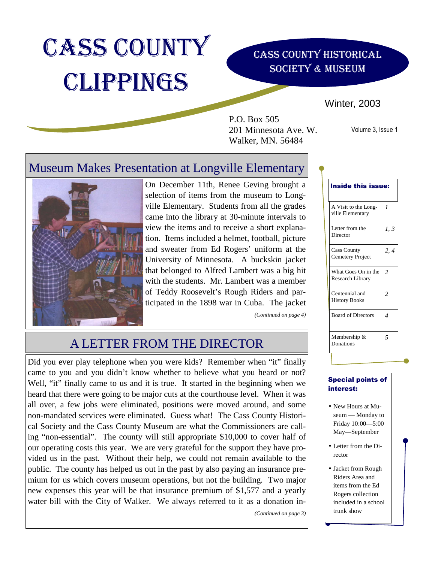# CASS COUNTY CLIPPINGS

### CASS COUNTY HISTORICAL SOCIETY & MUSEUM

### Winter, 2003

P.O. Box 505 201 Minnesota Ave. W. Walker, MN. 56484

Volume 3, Issue 1

### Museum Makes Presentation at Longville Elementary



On December 11th, Renee Geving brought a selection of items from the museum to Longville Elementary. Students from all the grades came into the library at 30-minute intervals to view the items and to receive a short explanation. Items included a helmet, football, picture and sweater from Ed Rogers' uniform at the University of Minnesota. A buckskin jacket that belonged to Alfred Lambert was a big hit with the students. Mr. Lambert was a member of Teddy Roosevelt's Rough Riders and participated in the 1898 war in Cuba. The jacket

*(Continued on page 4)* 

## A LETTER FROM THE DIRECTOR

Did you ever play telephone when you were kids? Remember when "it" finally came to you and you didn't know whether to believe what you heard or not? Well, "it" finally came to us and it is true. It started in the beginning when we heard that there were going to be major cuts at the courthouse level. When it was all over, a few jobs were eliminated, positions were moved around, and some non-mandated services were eliminated. Guess what! The Cass County Historical Society and the Cass County Museum are what the Commissioners are calling "non-essential". The county will still appropriate \$10,000 to cover half of our operating costs this year. We are very grateful for the support they have provided us in the past. Without their help, we could not remain available to the public. The county has helped us out in the past by also paying an insurance premium for us which covers museum operations, but not the building. Two major new expenses this year will be that insurance premium of \$1,577 and a yearly water bill with the City of Walker. We always referred to it as a donation in-

*(Continued on page 3)* 

| <b>Inside this issue:</b>                |               |
|------------------------------------------|---------------|
| A Visit to the Long-<br>ville Elementary | 1             |
| Letter from the<br>Director              | 1, 3          |
| <b>Cass County</b><br>Cemetery Project   | 2, 4          |
| What Goes On in the<br>Research Library  | $\mathcal{L}$ |
| Centennial and<br><b>History Books</b>   | 2             |
| <b>Board of Directors</b>                | 4             |
| Membership &<br>Donations                | 5             |

### Special points of interest:

- New Hours at Museum — Monday to Friday 10:00—5:00 May—September
- Letter from the Director
- Jacket from Rough Riders Area and items from the Ed Rogers collection included in a school trunk show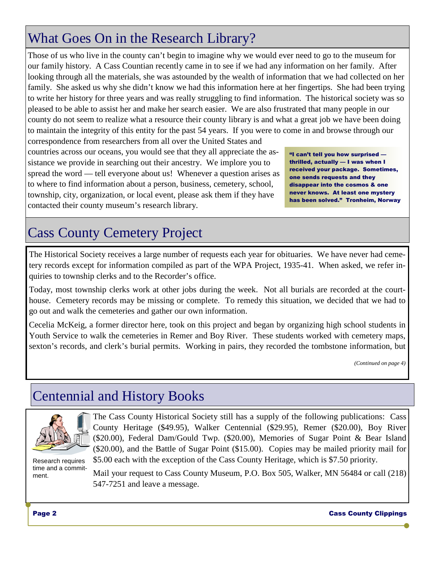# What Goes On in the Research Library?

Those of us who live in the county can't begin to imagine why we would ever need to go to the museum for our family history. A Cass Countian recently came in to see if we had any information on her family. After looking through all the materials, she was astounded by the wealth of information that we had collected on her family. She asked us why she didn't know we had this information here at her fingertips. She had been trying to write her history for three years and was really struggling to find information. The historical society was so pleased to be able to assist her and make her search easier. We are also frustrated that many people in our county do not seem to realize what a resource their county library is and what a great job we have been doing to maintain the integrity of this entity for the past 54 years. If you were to come in and browse through our

correspondence from researchers from all over the United States and countries across our oceans, you would see that they all appreciate the assistance we provide in searching out their ancestry. We implore you to spread the word — tell everyone about us! Whenever a question arises as to where to find information about a person, business, cemetery, school, township, city, organization, or local event, please ask them if they have contacted their county museum's research library.

"I can't tell you how surprised thrilled, actually — I was when I received your package. Sometimes, one sends requests and they disappear into the cosmos & one never knows. At least one mystery has been solved." Tronheim, Norway

# Cass County Cemetery Project

The Historical Society receives a large number of requests each year for obituaries. We have never had cemetery records except for information compiled as part of the WPA Project, 1935-41. When asked, we refer inquiries to township clerks and to the Recorder's office.

Today, most township clerks work at other jobs during the week. Not all burials are recorded at the courthouse. Cemetery records may be missing or complete. To remedy this situation, we decided that we had to go out and walk the cemeteries and gather our own information.

Cecelia McKeig, a former director here, took on this project and began by organizing high school students in Youth Service to walk the cemeteries in Remer and Boy River. These students worked with cemetery maps, sexton's records, and clerk's burial permits. Working in pairs, they recorded the tombstone information, but

*(Continued on page 4)* 

# Centennial and History Books



The Cass County Historical Society still has a supply of the following publications: Cass County Heritage (\$49.95), Walker Centennial (\$29.95), Remer (\$20.00), Boy River (\$20.00), Federal Dam/Gould Twp. (\$20.00), Memories of Sugar Point & Bear Island (\$20.00), and the Battle of Sugar Point (\$15.00). Copies may be mailed priority mail for \$5.00 each with the exception of the Cass County Heritage, which is \$7.50 priority.

Research requires time and a commitment.

Mail your request to Cass County Museum, P.O. Box 505, Walker, MN 56484 or call (218) 547-7251 and leave a message.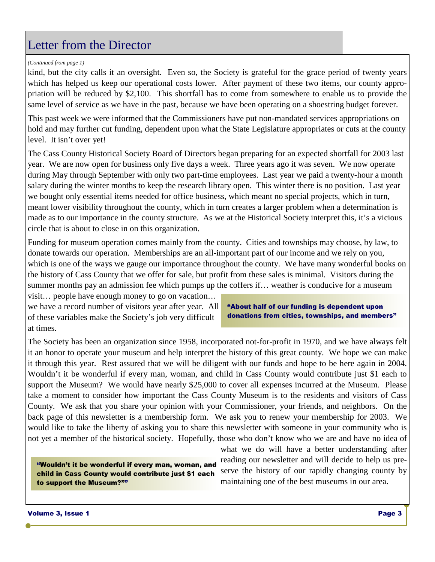### Letter from the Director

#### *(Continued from page 1)*

kind, but the city calls it an oversight. Even so, the Society is grateful for the grace period of twenty years which has helped us keep our operational costs lower. After payment of these two items, our county appropriation will be reduced by \$2,100. This shortfall has to come from somewhere to enable us to provide the same level of service as we have in the past, because we have been operating on a shoestring budget forever.

This past week we were informed that the Commissioners have put non-mandated services appropriations on hold and may further cut funding, dependent upon what the State Legislature appropriates or cuts at the county level. It isn't over yet!

The Cass County Historical Society Board of Directors began preparing for an expected shortfall for 2003 last year. We are now open for business only five days a week. Three years ago it was seven. We now operate during May through September with only two part-time employees. Last year we paid a twenty-hour a month salary during the winter months to keep the research library open. This winter there is no position. Last year we bought only essential items needed for office business, which meant no special projects, which in turn, meant lower visibility throughout the county, which in turn creates a larger problem when a determination is made as to our importance in the county structure. As we at the Historical Society interpret this, it's a vicious circle that is about to close in on this organization.

Funding for museum operation comes mainly from the county. Cities and townships may choose, by law, to donate towards our operation. Memberships are an all-important part of our income and we rely on you, which is one of the ways we gauge our importance throughout the county. We have many wonderful books on the history of Cass County that we offer for sale, but profit from these sales is minimal. Visitors during the summer months pay an admission fee which pumps up the coffers if… weather is conducive for a museum

visit… people have enough money to go on vacation… we have a record number of visitors year after year. All of these variables make the Society's job very difficult at times.

"About half of our funding is dependent upon donations from cities, townships, and members"

The Society has been an organization since 1958, incorporated not-for-profit in 1970, and we have always felt it an honor to operate your museum and help interpret the history of this great county. We hope we can make it through this year. Rest assured that we will be diligent with our funds and hope to be here again in 2004. Wouldn't it be wonderful if every man, woman, and child in Cass County would contribute just \$1 each to support the Museum? We would have nearly \$25,000 to cover all expenses incurred at the Museum. Please take a moment to consider how important the Cass County Museum is to the residents and visitors of Cass County. We ask that you share your opinion with your Commissioner, your friends, and neighbors. On the back page of this newsletter is a membership form. We ask you to renew your membership for 2003. We would like to take the liberty of asking you to share this newsletter with someone in your community who is not yet a member of the historical society. Hopefully, those who don't know who we are and have no idea of

"Wouldn't it be wonderful if every man, woman, and child in Cass County would contribute just \$1 each to support the Museum?""

what we do will have a better understanding after reading our newsletter and will decide to help us preserve the history of our rapidly changing county by maintaining one of the best museums in our area.

Volume 3, Issue 1 Page 3